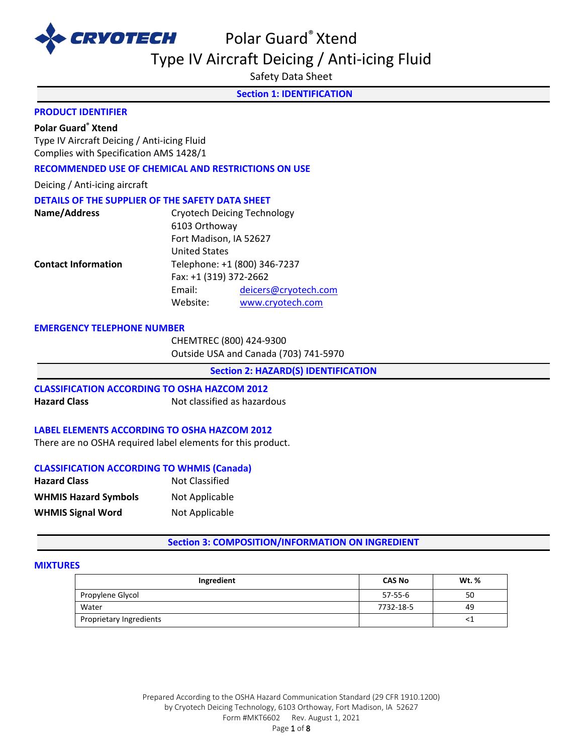

Polar Guard® Xtend Type IV Aircraft Deicing / Anti-icing Fluid

Safety Data Sheet

**Section 1: IDENTIFICATION** 

## **PRODUCT IDENTIFIER**

## **Polar Guard® Xtend**

Type IV Aircraft Deicing / Anti-icing Fluid Complies with Specification AMS 1428/1

#### **RECOMMENDED USE OF CHEMICAL AND RESTRICTIONS ON USE**

Deicing / Anti-icing aircraft

## **DETAILS OF THE SUPPLIER OF THE SAFETY DATA SHEET**

|                        | <b>Cryotech Deicing Technology</b> |
|------------------------|------------------------------------|
| 6103 Orthoway          |                                    |
| Fort Madison, IA 52627 |                                    |
| <b>United States</b>   |                                    |
|                        | Telephone: +1 (800) 346-7237       |
| Fax: +1 (319) 372-2662 |                                    |
| Email:                 | deicers@cryotech.com               |
| Website:               | www.cryotech.com                   |
|                        |                                    |

#### **EMERGENCY TELEPHONE NUMBER**

CHEMTREC (800) 424-9300 Outside USA and Canada (703) 741-5970

**Section 2: HAZARD(S) IDENTIFICATION** 

# **CLASSIFICATION ACCORDING TO OSHA HAZCOM 2012**

**Hazard Class Not classified as hazardous** 

#### **LABEL ELEMENTS ACCORDING TO OSHA HAZCOM 2012**

There are no OSHA required label elements for this product.

#### **CLASSIFICATION ACCORDING TO WHMIS (Canada)**

| <b>Hazard Class</b>         | Not Classified |
|-----------------------------|----------------|
| <b>WHMIS Hazard Symbols</b> | Not Applicable |
| <b>WHMIS Signal Word</b>    | Not Applicable |

**Section 3: COMPOSITION/INFORMATION ON INGREDIENT** 

#### **MIXTURES**

| Ingredient              | <b>CAS No</b> | Wt. % |
|-------------------------|---------------|-------|
| Propylene Glycol        | 57-55-6       | 50    |
| Water                   | 7732-18-5     | 49    |
| Proprietary Ingredients |               | ≦⊥    |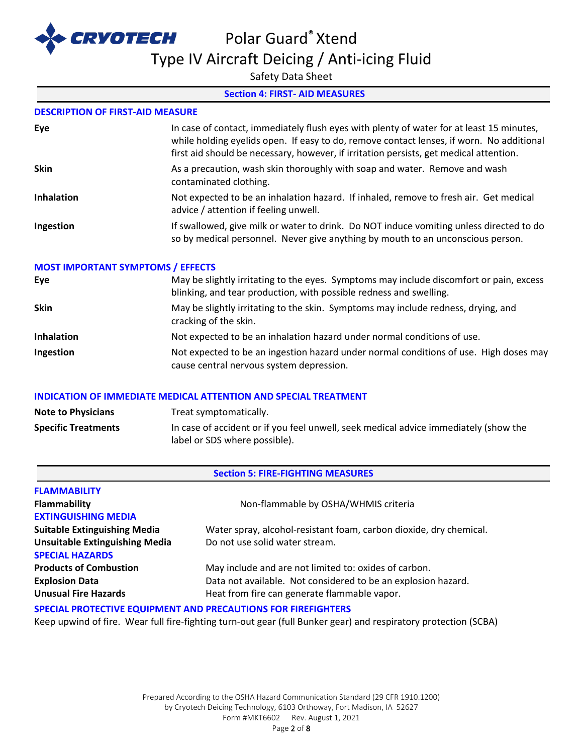

Type IV Aircraft Deicing / Anti-icing Fluid

Safety Data Sheet

## **Section 4: FIRST- AID MEASURES**

#### **DESCRIPTION OF FIRST-AID MEASURE**

| Eye               | In case of contact, immediately flush eyes with plenty of water for at least 15 minutes,<br>while holding eyelids open. If easy to do, remove contact lenses, if worn. No additional<br>first aid should be necessary, however, if irritation persists, get medical attention. |
|-------------------|--------------------------------------------------------------------------------------------------------------------------------------------------------------------------------------------------------------------------------------------------------------------------------|
| <b>Skin</b>       | As a precaution, wash skin thoroughly with soap and water. Remove and wash<br>contaminated clothing.                                                                                                                                                                           |
| <b>Inhalation</b> | Not expected to be an inhalation hazard. If inhaled, remove to fresh air. Get medical<br>advice / attention if feeling unwell.                                                                                                                                                 |
| Ingestion         | If swallowed, give milk or water to drink. Do NOT induce vomiting unless directed to do<br>so by medical personnel. Never give anything by mouth to an unconscious person.                                                                                                     |

# **MOST IMPORTANT SYMPTOMS / EFFECTS**

| Eye         | May be slightly irritating to the eyes. Symptoms may include discomfort or pain, excess<br>blinking, and tear production, with possible redness and swelling. |
|-------------|---------------------------------------------------------------------------------------------------------------------------------------------------------------|
| <b>Skin</b> | May be slightly irritating to the skin. Symptoms may include redness, drying, and<br>cracking of the skin.                                                    |
| Inhalation  | Not expected to be an inhalation hazard under normal conditions of use.                                                                                       |
| Ingestion   | Not expected to be an ingestion hazard under normal conditions of use. High doses may<br>cause central nervous system depression.                             |

#### **INDICATION OF IMMEDIATE MEDICAL ATTENTION AND SPECIAL TREATMENT**

| <b>Note to Physicians</b>  | Treat symptomatically.                                                                                                |
|----------------------------|-----------------------------------------------------------------------------------------------------------------------|
| <b>Specific Treatments</b> | In case of accident or if you feel unwell, seek medical advice immediately (show the<br>label or SDS where possible). |

## **Section 5: FIRE-FIGHTING MEASURES**

| <b>FLAMMABILITY</b><br><b>Flammability</b><br><b>EXTINGUISHING MEDIA</b> | Non-flammable by OSHA/WHMIS criteria                               |
|--------------------------------------------------------------------------|--------------------------------------------------------------------|
| <b>Suitable Extinguishing Media</b>                                      | Water spray, alcohol-resistant foam, carbon dioxide, dry chemical. |
| <b>Unsuitable Extinguishing Media</b><br><b>SPECIAL HAZARDS</b>          | Do not use solid water stream.                                     |
| <b>Products of Combustion</b>                                            | May include and are not limited to: oxides of carbon.              |
| <b>Explosion Data</b>                                                    | Data not available. Not considered to be an explosion hazard.      |
| <b>Unusual Fire Hazards</b>                                              | Heat from fire can generate flammable vapor.                       |
|                                                                          |                                                                    |

### **SPECIAL PROTECTIVE EQUIPMENT AND PRECAUTIONS FOR FIREFIGHTERS**

Keep upwind of fire. Wear full fire-fighting turn-out gear (full Bunker gear) and respiratory protection (SCBA)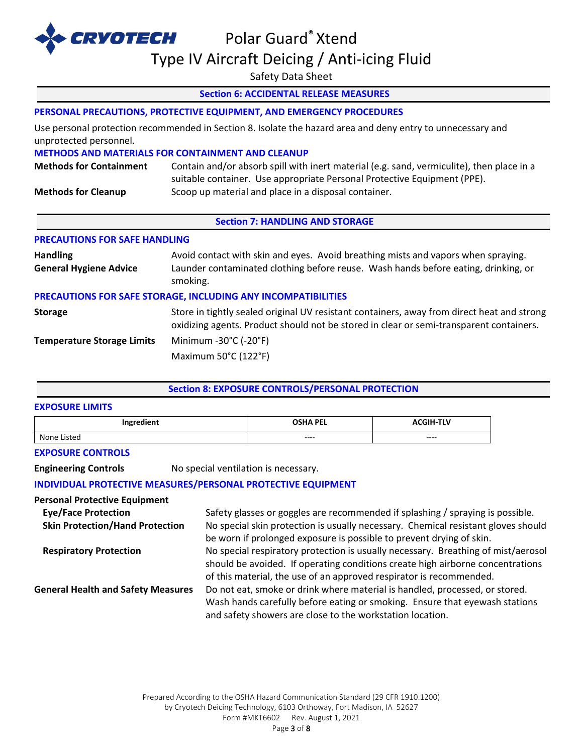

# Type IV Aircraft Deicing / Anti-icing Fluid

Safety Data Sheet

## **Section 6: ACCIDENTAL RELEASE MEASURES**

## **PERSONAL PRECAUTIONS, PROTECTIVE EQUIPMENT, AND EMERGENCY PROCEDURES**

Use personal protection recommended in Section 8. Isolate the hazard area and deny entry to unnecessary and unprotected personnel.

#### **METHODS AND MATERIALS FOR CONTAINMENT AND CLEANUP**

| <b>Methods for Containment</b> | Contain and/or absorb spill with inert material (e.g. sand, vermiculite), then place in a |  |  |
|--------------------------------|-------------------------------------------------------------------------------------------|--|--|
|                                | suitable container. Use appropriate Personal Protective Equipment (PPE).                  |  |  |
| <b>Methods for Cleanup</b>     | Scoop up material and place in a disposal container.                                      |  |  |

#### **Section 7: HANDLING AND STORAGE**

#### **PRECAUTIONS FOR SAFE HANDLING**

| <b>Handling</b><br><b>General Hygiene Advice</b>              | Avoid contact with skin and eyes. Avoid breathing mists and vapors when spraying.<br>Launder contaminated clothing before reuse. Wash hands before eating, drinking, or<br>smoking.   |  |  |
|---------------------------------------------------------------|---------------------------------------------------------------------------------------------------------------------------------------------------------------------------------------|--|--|
| PRECAUTIONS FOR SAFE STORAGE, INCLUDING ANY INCOMPATIBILITIES |                                                                                                                                                                                       |  |  |
| <b>Storage</b>                                                | Store in tightly sealed original UV resistant containers, away from direct heat and strong<br>oxidizing agents. Product should not be stored in clear or semi-transparent containers. |  |  |
| <b>Temperature Storage Limits</b>                             | Minimum -30°C (-20°F)                                                                                                                                                                 |  |  |
|                                                               | Maximum 50°C (122°F)                                                                                                                                                                  |  |  |

## **Section 8: EXPOSURE CONTROLS/PERSONAL PROTECTION**

#### **EXPOSURE LIMITS**

| Ingredient       | <b>OSHA PEL</b> | <b>THE</b><br>5 I H<br>- I L V |
|------------------|-----------------|--------------------------------|
| None .<br>Listed | ----            | ----                           |

#### **EXPOSURE CONTROLS**

**Engineering Controls** No special ventilation is necessary.

## **INDIVIDUAL PROTECTIVE MEASURES/PERSONAL PROTECTIVE EQUIPMENT**

#### **Personal Protective Equipment**

| <b>Eye/Face Protection</b>                | Safety glasses or goggles are recommended if splashing / spraying is possible.    |
|-------------------------------------------|-----------------------------------------------------------------------------------|
| <b>Skin Protection/Hand Protection</b>    | No special skin protection is usually necessary. Chemical resistant gloves should |
|                                           | be worn if prolonged exposure is possible to prevent drying of skin.              |
| <b>Respiratory Protection</b>             | No special respiratory protection is usually necessary. Breathing of mist/aerosol |
|                                           | should be avoided. If operating conditions create high airborne concentrations    |
|                                           | of this material, the use of an approved respirator is recommended.               |
| <b>General Health and Safety Measures</b> | Do not eat, smoke or drink where material is handled, processed, or stored.       |
|                                           | Wash hands carefully before eating or smoking. Ensure that eyewash stations       |
|                                           | and safety showers are close to the workstation location.                         |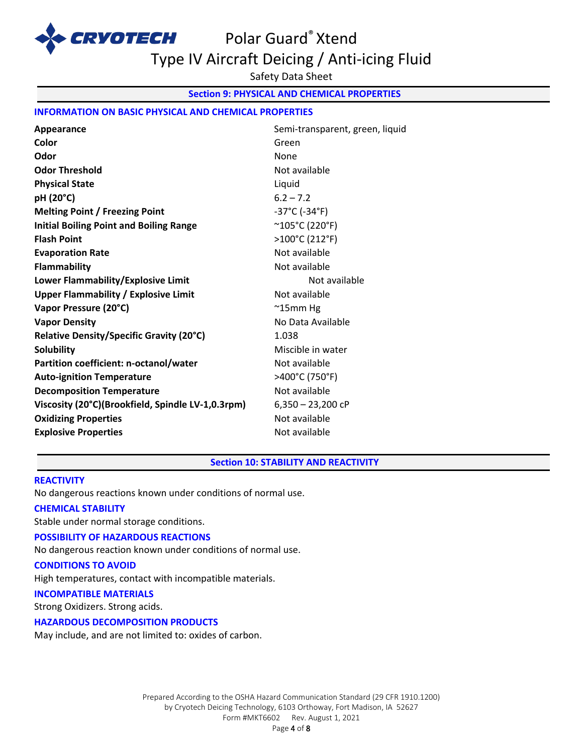

# Polar Guard® Xtend Type IV Aircraft Deicing / Anti-icing Fluid

Safety Data Sheet

**Section 9: PHYSICAL AND CHEMICAL PROPERTIES** 

## **INFORMATION ON BASIC PHYSICAL AND CHEMICAL PROPERTIES**

| Appearance                                        | Semi-transparent, green, liquid    |
|---------------------------------------------------|------------------------------------|
| Color                                             | Green                              |
| Odor                                              | None                               |
| <b>Odor Threshold</b>                             | Not available                      |
| <b>Physical State</b>                             | Liquid                             |
| pH (20°C)                                         | $6.2 - 7.2$                        |
| <b>Melting Point / Freezing Point</b>             | $-37^{\circ}$ C ( $-34^{\circ}$ F) |
| <b>Initial Boiling Point and Boiling Range</b>    | $^{\sim}$ 105°C (220°F)            |
| <b>Flash Point</b>                                | >100°C (212°F)                     |
| <b>Evaporation Rate</b>                           | Not available                      |
| Flammability                                      | Not available                      |
| Lower Flammability/Explosive Limit                | Not available                      |
| <b>Upper Flammability / Explosive Limit</b>       | Not available                      |
| Vapor Pressure (20°C)                             | $^{\sim}$ 15mm Hg                  |
| <b>Vapor Density</b>                              | No Data Available                  |
| Relative Density/Specific Gravity (20°C)          | 1.038                              |
| <b>Solubility</b>                                 | Miscible in water                  |
| Partition coefficient: n-octanol/water            | Not available                      |
| <b>Auto-ignition Temperature</b>                  | >400°C (750°F)                     |
| <b>Decomposition Temperature</b>                  | Not available                      |
| Viscosity (20°C)(Brookfield, Spindle LV-1,0.3rpm) | $6,350 - 23,200$ cP                |
| <b>Oxidizing Properties</b>                       | Not available                      |
| <b>Explosive Properties</b>                       | Not available                      |

#### **Section 10: STABILITY AND REACTIVITY**

#### **REACTIVITY**

No dangerous reactions known under conditions of normal use.

#### **CHEMICAL STABILITY**

Stable under normal storage conditions.

#### **POSSIBILITY OF HAZARDOUS REACTIONS**

No dangerous reaction known under conditions of normal use.

## **CONDITIONS TO AVOID**

High temperatures, contact with incompatible materials.

# **INCOMPATIBLE MATERIALS**

Strong Oxidizers. Strong acids.

## **HAZARDOUS DECOMPOSITION PRODUCTS**

May include, and are not limited to: oxides of carbon.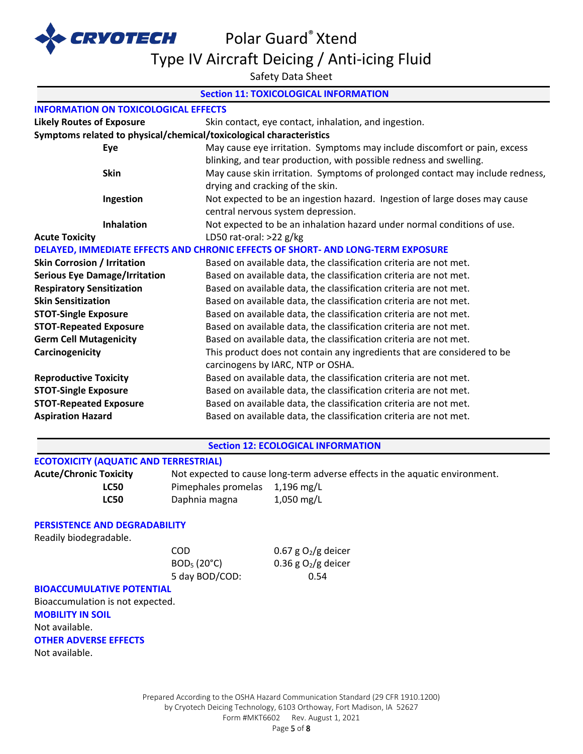

Type IV Aircraft Deicing / Anti-icing Fluid

Safety Data Sheet

# **Section 11: TOXICOLOGICAL INFORMATION INFORMATION ON TOXICOLOGICAL EFFECTS Likely Routes of Exposure** Skin contact, eye contact, inhalation, and ingestion. **Symptoms related to physical/chemical/toxicological characteristics Eye** May cause eye irritation. Symptoms may include discomfort or pain, excess blinking, and tear production, with possible redness and swelling. **Skin** May cause skin irritation. Symptoms of prolonged contact may include redness, drying and cracking of the skin. **Ingestion** Not expected to be an ingestion hazard. Ingestion of large doses may cause central nervous system depression. **Inhalation** Not expected to be an inhalation hazard under normal conditions of use. **Acute Toxicity** LD50 rat-oral: >22 g/kg **DELAYED, IMMEDIATE EFFECTS AND CHRONIC EFFECTS OF SHORT- AND LONG-TERM EXPOSURE Skin Corrosion / Irritation Based on available data, the classification criteria are not met. Serious Eye Damage/Irritation** Based on available data, the classification criteria are not met. **Respiratory Sensitization** Based on available data, the classification criteria are not met. **Skin Sensitization Based on available data, the classification criteria are not met. STOT-Single Exposure** Based on available data, the classification criteria are not met. **STOT-Repeated Exposure** Based on available data, the classification criteria are not met. **Germ Cell Mutagenicity** Based on available data, the classification criteria are not met. **Carcinogenicity** This product does not contain any ingredients that are considered to be carcinogens by IARC, NTP or OSHA. **Reproductive Toxicity** Based on available data, the classification criteria are not met. **STOT-Single Exposure Based on available data, the classification criteria are not met. STOT-Repeated Exposure** Based on available data, the classification criteria are not met. **Aspiration Hazard** Based on available data, the classification criteria are not met. **Section 12: ECOLOGICAL INFORMATION ECOTOXICITY (AQUATIC AND TERRESTRIAL) Acute/Chronic Toxicity** Not expected to cause long-term adverse effects in the aquatic environment. LC50 Pimephales promelas 1,196 mg/L **LC50** Daphnia magna 1,050 mg/L

#### **PERSISTENCE AND DEGRADABILITY**

Readily biodegradable.

5 day BOD/COD: 0.54

COD  $0.67 g O<sub>2</sub>/g$  deicer  $BOD_5 (20^{\circ}C)$  0.36 g O<sub>2</sub>/g deicer

#### **BIOACCUMULATIVE POTENTIAL**

Bioaccumulation is not expected. **MOBILITY IN SOIL** Not available. **OTHER ADVERSE EFFECTS** Not available.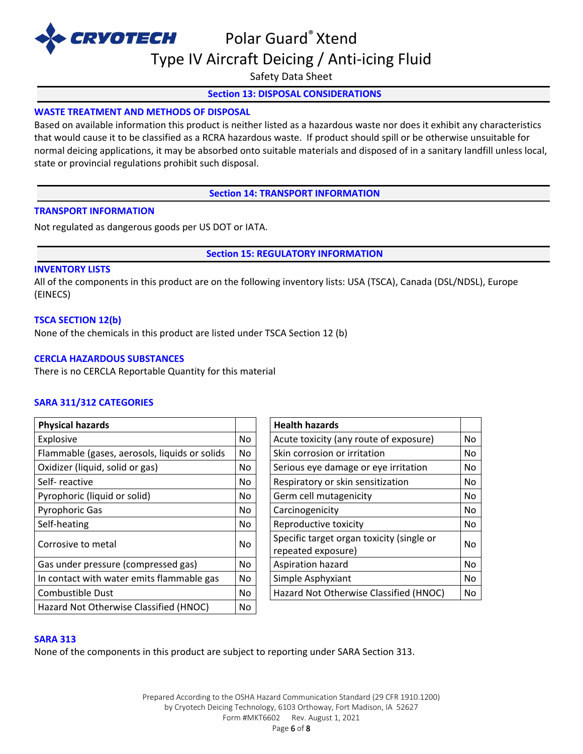

Type IV Aircraft Deicing / Anti-icing Fluid

Safety Data Sheet

## **Section 13: DISPOSAL CONSIDERATIONS**

## **WASTE TREATMENT AND METHODS OF DISPOSAL**

Based on available information this product is neither listed as a hazardous waste nor does it exhibit any characteristics that would cause it to be classified as a RCRA hazardous waste. If product should spill or be otherwise unsuitable for normal deicing applications, it may be absorbed onto suitable materials and disposed of in a sanitary landfill unless local, state or provincial regulations prohibit such disposal.

**Section 14: TRANSPORT INFORMATION**

#### **TRANSPORT INFORMATION**

Not regulated as dangerous goods per US DOT or IATA.

**Section 15: REGULATORY INFORMATION**

#### **INVENTORY LISTS**

All of the components in this product are on the following inventory lists: USA (TSCA), Canada (DSL/NDSL), Europe (EINECS)

#### **TSCA SECTION 12(b)**

None of the chemicals in this product are listed under TSCA Section 12 (b)

#### **CERCLA HAZARDOUS SUBSTANCES**

There is no CERCLA Reportable Quantity for this material

#### **SARA 311/312 CATEGORIES**

| <b>Physical hazards</b>                       |     | <b>Health hazards</b>                                           |    |
|-----------------------------------------------|-----|-----------------------------------------------------------------|----|
| Explosive                                     | No. | Acute toxicity (any route of exposure)                          | No |
| Flammable (gases, aerosols, liquids or solids | No. | Skin corrosion or irritation                                    | No |
| Oxidizer (liquid, solid or gas)               | No  | Serious eye damage or eye irritation                            | No |
| Self-reactive                                 | No  | Respiratory or skin sensitization                               | No |
| Pyrophoric (liquid or solid)                  | No. | Germ cell mutagenicity                                          | No |
| <b>Pyrophoric Gas</b>                         | No. | Carcinogenicity                                                 | No |
| Self-heating                                  | No. | Reproductive toxicity                                           | No |
| Corrosive to metal                            | No. | Specific target organ toxicity (single or<br>repeated exposure) | No |
| Gas under pressure (compressed gas)           | No. | Aspiration hazard                                               | No |
| In contact with water emits flammable gas     | No. | Simple Asphyxiant                                               | No |
| <b>Combustible Dust</b>                       | No. | Hazard Not Otherwise Classified (HNOC)                          | No |
| Hazard Not Otherwise Classified (HNOC)        | No  |                                                                 |    |

| <b>Health hazards</b>                                           |    |
|-----------------------------------------------------------------|----|
| Acute toxicity (any route of exposure)                          | No |
| Skin corrosion or irritation                                    | No |
| Serious eye damage or eye irritation                            | No |
| Respiratory or skin sensitization                               | No |
| Germ cell mutagenicity                                          | No |
| Carcinogenicity                                                 | No |
| Reproductive toxicity                                           | No |
| Specific target organ toxicity (single or<br>repeated exposure) | No |
| Aspiration hazard                                               | No |
| Simple Asphyxiant                                               | No |
| Hazard Not Otherwise Classified (HNOC)                          | No |

#### **SARA 313**

None of the components in this product are subject to reporting under SARA Section 313.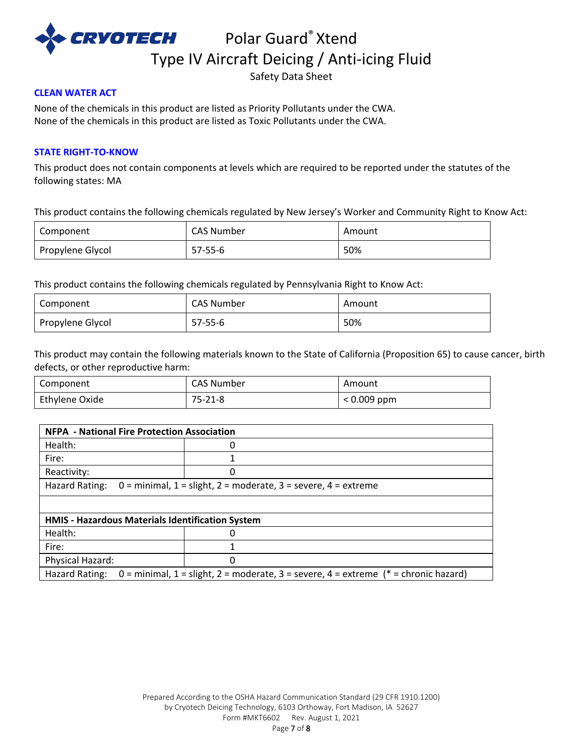

CRVOTECH Polar Guard® Xtend Type IV Aircraft Deicing / Anti-icing Fluid

Safety Data Sheet

## **CLEAN WATER ACT**

None of the chemicals in this product are listed as Priority Pollutants under the CWA. None of the chemicals in this product are listed as Toxic Pollutants under the CWA.

## **STATE RIGHT-TO-KNOW**

This product does not contain components at levels which are required to be reported under the statutes of the following states: MA

This product contains the following chemicals regulated by New Jersey's Worker and Community Right to Know Act:

| Component        | CAS Number | Amount |
|------------------|------------|--------|
| Propylene Glycol | $57-55-6$  | 50%    |

This product contains the following chemicals regulated by Pennsylvania Right to Know Act:

| Component        | CAS Number | Amount |
|------------------|------------|--------|
| Propylene Glycol | 57-55-6    | 50%    |

This product may contain the following materials known to the State of California (Proposition 65) to cause cancer, birth defects, or other reproductive harm:

| Component      | CAS Number | Amount        |
|----------------|------------|---------------|
| Ethylene Oxide | 75-21-8    | $< 0.009$ ppm |

| <b>NFPA - National Fire Protection Association</b>                                                       |   |  |
|----------------------------------------------------------------------------------------------------------|---|--|
| Health:                                                                                                  |   |  |
| Fire:                                                                                                    |   |  |
| Reactivity:                                                                                              | 0 |  |
| Hazard Rating:<br>$0 =$ minimal, $1 =$ slight, $2 =$ moderate, $3 =$ severe, $4 =$ extreme               |   |  |
|                                                                                                          |   |  |
| HMIS - Hazardous Materials Identification System                                                         |   |  |
| Health:                                                                                                  |   |  |
| Fire:                                                                                                    |   |  |
| Physical Hazard:                                                                                         | 0 |  |
| Hazard Rating:<br>0 = minimal, 1 = slight, 2 = moderate, 3 = severe, 4 = extreme ( $*$ = chronic hazard) |   |  |